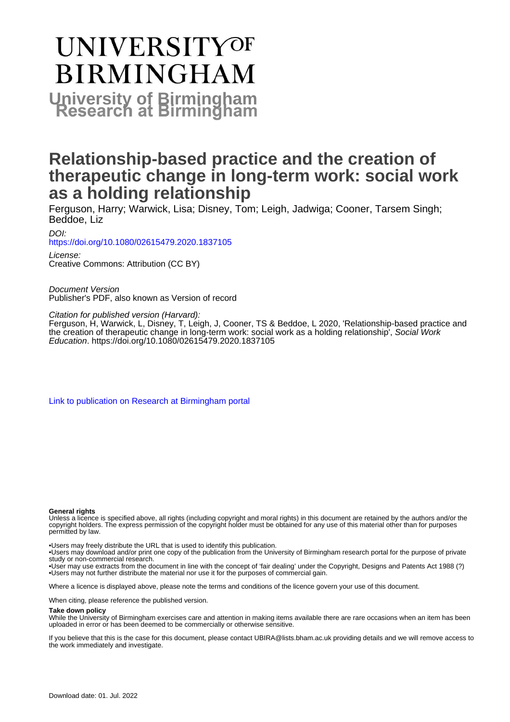# **UNIVERSITYOF BIRMINGHAM University of Birmingham**

# **Relationship-based practice and the creation of therapeutic change in long-term work: social work as a holding relationship**

Ferguson, Harry; Warwick, Lisa; Disney, Tom; Leigh, Jadwiga; Cooner, Tarsem Singh; Beddoe, Liz

DOI: <https://doi.org/10.1080/02615479.2020.1837105>

License: Creative Commons: Attribution (CC BY)

Document Version Publisher's PDF, also known as Version of record

Citation for published version (Harvard):

Ferguson, H, Warwick, L, Disney, T, Leigh, J, Cooner, TS & Beddoe, L 2020, 'Relationship-based practice and the creation of therapeutic change in long-term work: social work as a holding relationship', Social Work Education.<https://doi.org/10.1080/02615479.2020.1837105>

[Link to publication on Research at Birmingham portal](https://birmingham.elsevierpure.com/en/publications/7ad4b315-6cd6-437d-a376-523bd3519818)

#### **General rights**

Unless a licence is specified above, all rights (including copyright and moral rights) in this document are retained by the authors and/or the copyright holders. The express permission of the copyright holder must be obtained for any use of this material other than for purposes permitted by law.

• Users may freely distribute the URL that is used to identify this publication.

• Users may download and/or print one copy of the publication from the University of Birmingham research portal for the purpose of private study or non-commercial research.

• User may use extracts from the document in line with the concept of 'fair dealing' under the Copyright, Designs and Patents Act 1988 (?) • Users may not further distribute the material nor use it for the purposes of commercial gain.

Where a licence is displayed above, please note the terms and conditions of the licence govern your use of this document.

When citing, please reference the published version.

#### **Take down policy**

While the University of Birmingham exercises care and attention in making items available there are rare occasions when an item has been uploaded in error or has been deemed to be commercially or otherwise sensitive.

If you believe that this is the case for this document, please contact UBIRA@lists.bham.ac.uk providing details and we will remove access to the work immediately and investigate.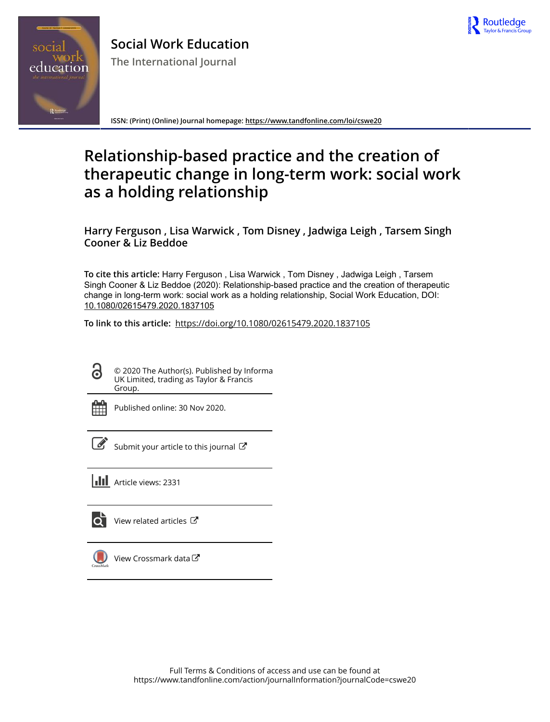



**ISSN: (Print) (Online) Journal homepage:<https://www.tandfonline.com/loi/cswe20>**

# **Relationship-based practice and the creation of therapeutic change in long-term work: social work as a holding relationship**

**Harry Ferguson , Lisa Warwick , Tom Disney , Jadwiga Leigh , Tarsem Singh Cooner & Liz Beddoe**

**To cite this article:** Harry Ferguson , Lisa Warwick , Tom Disney , Jadwiga Leigh , Tarsem Singh Cooner & Liz Beddoe (2020): Relationship-based practice and the creation of therapeutic change in long-term work: social work as a holding relationship, Social Work Education, DOI: [10.1080/02615479.2020.1837105](https://www.tandfonline.com/action/showCitFormats?doi=10.1080/02615479.2020.1837105)

**To link to this article:** <https://doi.org/10.1080/02615479.2020.1837105>

ര

© 2020 The Author(s). Published by Informa UK Limited, trading as Taylor & Francis Group.



Published online: 30 Nov 2020.

[Submit your article to this journal](https://www.tandfonline.com/action/authorSubmission?journalCode=cswe20&show=instructions)  $\mathbb{Z}$ 

**Article views: 2331** 



 $\overrightarrow{O}$  [View related articles](https://www.tandfonline.com/doi/mlt/10.1080/02615479.2020.1837105)  $\overrightarrow{C}$ 



[View Crossmark data](http://crossmark.crossref.org/dialog/?doi=10.1080/02615479.2020.1837105&domain=pdf&date_stamp=2020-11-30) $\bm{\mathcal{C}}$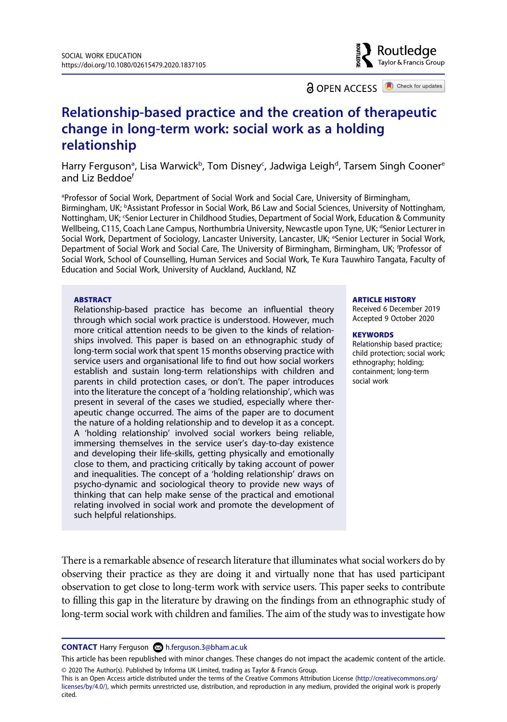**a** OPEN ACCESS **a** Check for updates

Routledae Taylor & Francis Group

# **Relationship-based practice and the creation of therapeutic change in long-term work: social work as a holding relationship**

H[a](#page-2-0)rry Ferguson<sup>a</sup>, Lisa Warwick<sup>b</sup>, Tom Disney<sup>c</sup>, Ja[d](#page-2-3)wiga L[e](#page-2-4)igh<sup>d</sup>, Tarsem Singh Cooner<sup>e</sup> and Liz Beddo[ef](#page-2-5)

<span id="page-2-5"></span><span id="page-2-4"></span><span id="page-2-3"></span><span id="page-2-2"></span><span id="page-2-1"></span><span id="page-2-0"></span><sup>a</sup>Professor of Social Work, Department of Social Work and Social Care, University of Birmingham, Birmingham, UK; <sup>b</sup>Assistant Professor in Social Work, B6 Law and Social Sciences, University of Nottingham, Nottingham, UK; 'Senior Lecturer in Childhood Studies, Department of Social Work, Education & Community Wellbeing, C115, Coach Lane Campus, Northumbria University, Newcastle upon Tyne, UK; <sup>d</sup>Senior Lecturer in Social Work, Department of Sociology, Lancaster University, Lancaster, UK; e Senior Lecturer in Social Work, Department of Social Work and Social Care, The University of Birmingham, Birmingham, UK; f Professor of Social Work, School of Counselling, Human Services and Social Work, Te Kura Tauwhiro Tangata, Faculty of Education and Social Work, University of Auckland, Auckland, NZ

#### **ABSTRACT**

Relationship-based practice has become an influential theory through which social work practice is understood. However, much more critical attention needs to be given to the kinds of relationships involved. This paper is based on an ethnographic study of long-term social work that spent 15 months observing practice with service users and organisational life to find out how social workers establish and sustain long-term relationships with children and parents in child protection cases, or don't. The paper introduces into the literature the concept of a 'holding relationship', which was present in several of the cases we studied, especially where therapeutic change occurred. The aims of the paper are to document the nature of a holding relationship and to develop it as a concept. A 'holding relationship' involved social workers being reliable, immersing themselves in the service user's day-to-day existence and developing their life-skills, getting physically and emotionally close to them, and practicing critically by taking account of power and inequalities. The concept of a 'holding relationship' draws on psycho-dynamic and sociological theory to provide new ways of thinking that can help make sense of the practical and emotional relating involved in social work and promote the development of such helpful relationships.

#### **ARTICLE HISTORY**

Received 6 December 2019 Accepted 9 October 2020

#### **KEYWORDS**

Relationship based practice; child protection; social work; ethnography; holding; containment; long-term social work

There is a remarkable absence of research literature that illuminates what social workers do by observing their practice as they are doing it and virtually none that has used participant observation to get close to long-term work with service users. This paper seeks to contribute to filling this gap in the literature by drawing on the findings from an ethnographic study of long-term social work with children and families. The aim of the study was to investigate how

© 2020 The Author(s). Published by Informa UK Limited, trading as Taylor & Francis Group.

**CONTACT** Harry Ferguson 2 h.ferguson.3@bham.ac.uk

This article has been republished with minor changes. These changes do not impact the academic content of the article.

This is an Open Access article distributed under the terms of the Creative Commons Attribution License (http://creativecommons.org/ licenses/by/4.0/), which permits unrestricted use, distribution, and reproduction in any medium, provided the original work is properly cited.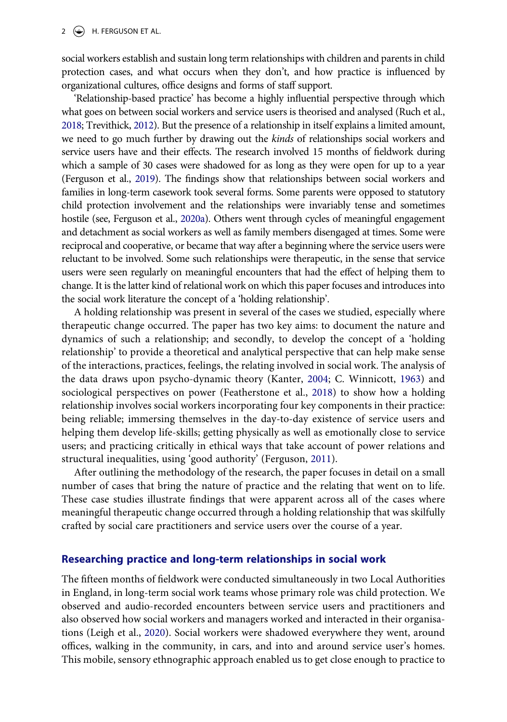#### 2  $\leftrightarrow$  H. FERGUSON ET AL.

social workers establish and sustain long term relationships with children and parents in child protection cases, and what occurs when they don't, and how practice is influenced by organizational cultures, office designs and forms of staff support.

<span id="page-3-7"></span><span id="page-3-6"></span><span id="page-3-2"></span>'Relationship-based practice' has become a highly influential perspective through which what goes on between social workers and service users is theorised and analysed (Ruch et al., [2018](#page-20-0); Trevithick, [2012](#page-20-1)). But the presence of a relationship in itself explains a limited amount, we need to go much further by drawing out the *kinds* of relationships social workers and service users have and their effects. The research involved 15 months of fieldwork during which a sample of 30 cases were shadowed for as long as they were open for up to a year (Ferguson et al., [2019\)](#page-18-0). The findings show that relationships between social workers and families in long-term casework took several forms. Some parents were opposed to statutory child protection involvement and the relationships were invariably tense and sometimes hostile (see, Ferguson et al., [2020a](#page-18-1)). Others went through cycles of meaningful engagement and detachment as social workers as well as family members disengaged at times. Some were reciprocal and cooperative, or became that way after a beginning where the service users were reluctant to be involved. Some such relationships were therapeutic, in the sense that service users were seen regularly on meaningful encounters that had the effect of helping them to change. It is the latter kind of relational work on which this paper focuses and introduces into the social work literature the concept of a 'holding relationship'.

<span id="page-3-4"></span><span id="page-3-3"></span><span id="page-3-0"></span>A holding relationship was present in several of the cases we studied, especially where therapeutic change occurred. The paper has two key aims: to document the nature and dynamics of such a relationship; and secondly, to develop the concept of a 'holding relationship' to provide a theoretical and analytical perspective that can help make sense of the interactions, practices, feelings, the relating involved in social work. The analysis of the data draws upon psycho-dynamic theory (Kanter, [2004](#page-19-0); C. Winnicott, [1963\)](#page-20-2) and sociological perspectives on power (Featherstone et al., [2018\)](#page-18-2) to show how a holding relationship involves social workers incorporating four key components in their practice: being reliable; immersing themselves in the day-to-day existence of service users and helping them develop life-skills; getting physically as well as emotionally close to service users; and practicing critically in ethical ways that take account of power relations and structural inequalities, using 'good authority' (Ferguson, [2011\)](#page-18-3).

<span id="page-3-1"></span>After outlining the methodology of the research, the paper focuses in detail on a small number of cases that bring the nature of practice and the relating that went on to life. These case studies illustrate findings that were apparent across all of the cases where meaningful therapeutic change occurred through a holding relationship that was skilfully crafted by social care practitioners and service users over the course of a year.

# **Researching practice and long-term relationships in social work**

<span id="page-3-5"></span>The fifteen months of fieldwork were conducted simultaneously in two Local Authorities in England, in long-term social work teams whose primary role was child protection. We observed and audio-recorded encounters between service users and practitioners and also observed how social workers and managers worked and interacted in their organisations (Leigh et al., [2020\)](#page-19-1). Social workers were shadowed everywhere they went, around offices, walking in the community, in cars, and into and around service user's homes. This mobile, sensory ethnographic approach enabled us to get close enough to practice to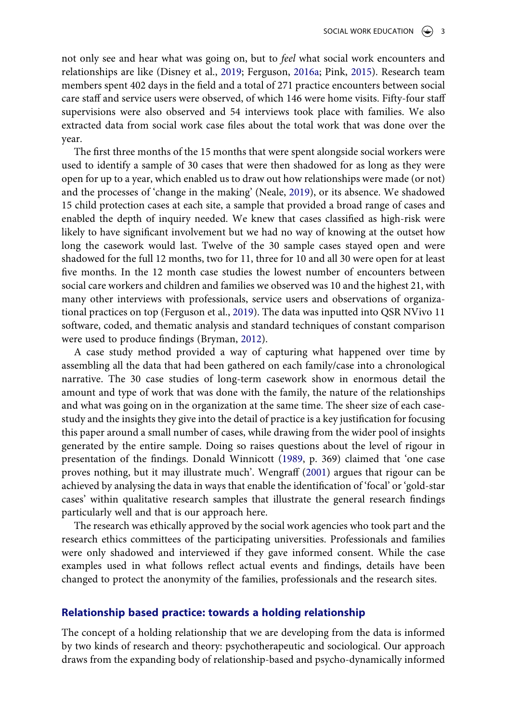<span id="page-4-1"></span>not only see and hear what was going on, but to *feel* what social work encounters and relationships are like (Disney et al., [2019](#page-18-4); Ferguson, [2016a;](#page-18-5) Pink, [2015\)](#page-19-2). Research team members spent 402 days in the field and a total of 271 practice encounters between social care staff and service users were observed, of which 146 were home visits. Fifty-four staff supervisions were also observed and 54 interviews took place with families. We also extracted data from social work case files about the total work that was done over the year.

<span id="page-4-2"></span>The first three months of the 15 months that were spent alongside social workers were used to identify a sample of 30 cases that were then shadowed for as long as they were open for up to a year, which enabled us to draw out how relationships were made (or not) and the processes of 'change in the making' (Neale, [2019\)](#page-19-3), or its absence. We shadowed 15 child protection cases at each site, a sample that provided a broad range of cases and enabled the depth of inquiry needed. We knew that cases classified as high-risk were likely to have significant involvement but we had no way of knowing at the outset how long the casework would last. Twelve of the 30 sample cases stayed open and were shadowed for the full 12 months, two for 11, three for 10 and all 30 were open for at least five months. In the 12 month case studies the lowest number of encounters between social care workers and children and families we observed was 10 and the highest 21, with many other interviews with professionals, service users and observations of organizational practices on top (Ferguson et al., [2019\)](#page-18-0). The data was inputted into QSR NVivo 11 software, coded, and thematic analysis and standard techniques of constant comparison were used to produce findings (Bryman, [2012\)](#page-18-6).

<span id="page-4-0"></span>A case study method provided a way of capturing what happened over time by assembling all the data that had been gathered on each family/case into a chronological narrative. The 30 case studies of long-term casework show in enormous detail the amount and type of work that was done with the family, the nature of the relationships and what was going on in the organization at the same time. The sheer size of each casestudy and the insights they give into the detail of practice is a key justification for focusing this paper around a small number of cases, while drawing from the wider pool of insights generated by the entire sample. Doing so raises questions about the level of rigour in presentation of the findings. Donald Winnicott [\(1989,](#page-20-3) p. 369) claimed that 'one case proves nothing, but it may illustrate much'. Wengraff ([2001\)](#page-20-4) argues that rigour can be achieved by analysing the data in ways that enable the identification of 'focal' or 'gold-star cases' within qualitative research samples that illustrate the general research findings particularly well and that is our approach here.

<span id="page-4-4"></span><span id="page-4-3"></span>The research was ethically approved by the social work agencies who took part and the research ethics committees of the participating universities. Professionals and families were only shadowed and interviewed if they gave informed consent. While the case examples used in what follows reflect actual events and findings, details have been changed to protect the anonymity of the families, professionals and the research sites.

#### **Relationship based practice: towards a holding relationship**

The concept of a holding relationship that we are developing from the data is informed by two kinds of research and theory: psychotherapeutic and sociological. Our approach draws from the expanding body of relationship-based and psycho-dynamically informed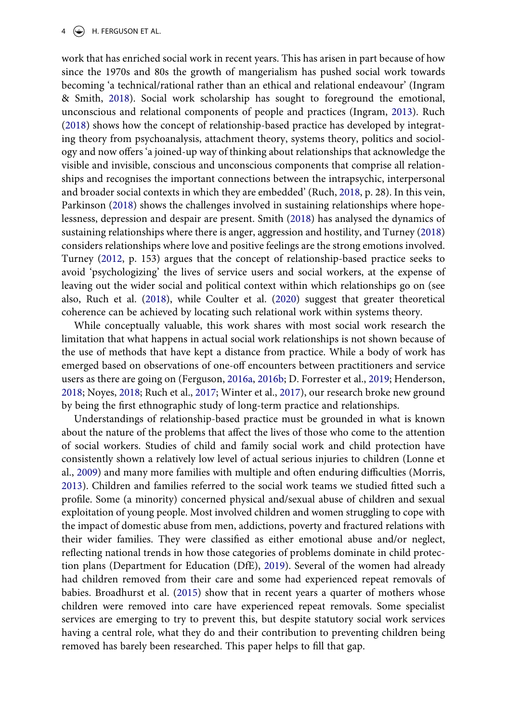#### $4 \quad (*)$  H. FERGUSON ET AL.

<span id="page-5-9"></span><span id="page-5-5"></span><span id="page-5-4"></span>work that has enriched social work in recent years. This has arisen in part because of how since the 1970s and 80s the growth of mangerialism has pushed social work towards becoming 'a technical/rational rather than an ethical and relational endeavour' (Ingram & Smith, [2018](#page-19-4)). Social work scholarship has sought to foreground the emotional, unconscious and relational components of people and practices (Ingram, [2013](#page-19-5)). Ruch ([2018\)](#page-20-5) shows how the concept of relationship-based practice has developed by integrating theory from psychoanalysis, attachment theory, systems theory, politics and sociology and now offers 'a joined-up way of thinking about relationships that acknowledge the visible and invisible, conscious and unconscious components that comprise all relationships and recognises the important connections between the intrapsychic, interpersonal and broader social contexts in which they are embedded' (Ruch, [2018](#page-20-5), p. 28). In this vein, Parkinson ([2018\)](#page-19-6) shows the challenges involved in sustaining relationships where hopelessness, depression and despair are present. Smith ([2018\)](#page-20-6) has analysed the dynamics of sustaining relationships where there is anger, aggression and hostility, and Turney [\(2018\)](#page-20-7) considers relationships where love and positive feelings are the strong emotions involved. Turney ([2012,](#page-20-8) p. 153) argues that the concept of relationship-based practice seeks to avoid 'psychologizing' the lives of service users and social workers, at the expense of leaving out the wider social and political context within which relationships go on (see also, Ruch et al. ([2018\)](#page-20-0), while Coulter et al. [\(2020](#page-18-7)) suggest that greater theoretical coherence can be achieved by locating such relational work within systems theory.

<span id="page-5-12"></span><span id="page-5-11"></span><span id="page-5-10"></span><span id="page-5-8"></span><span id="page-5-1"></span>While conceptually valuable, this work shares with most social work research the limitation that what happens in actual social work relationships is not shown because of the use of methods that have kept a distance from practice. While a body of work has emerged based on observations of one-off encounters between practitioners and service users as there are going on (Ferguson, [2016a](#page-18-5), [2016b](#page-18-8); D. Forrester et al., [2019;](#page-19-7) Henderson, [2018](#page-19-8); Noyes, [2018](#page-19-9); Ruch et al., [2017](#page-20-9); Winter et al., [2017](#page-20-10)), our research broke new ground by being the first ethnographic study of long-term practice and relationships.

<span id="page-5-7"></span><span id="page-5-6"></span><span id="page-5-3"></span><span id="page-5-2"></span><span id="page-5-0"></span>Understandings of relationship-based practice must be grounded in what is known about the nature of the problems that affect the lives of those who come to the attention of social workers. Studies of child and family social work and child protection have consistently shown a relatively low level of actual serious injuries to children (Lonne et al., [2009\)](#page-19-10) and many more families with multiple and often enduring difficulties (Morris, [2013](#page-19-11)). Children and families referred to the social work teams we studied fitted such a profile. Some (a minority) concerned physical and/sexual abuse of children and sexual exploitation of young people. Most involved children and women struggling to cope with the impact of domestic abuse from men, addictions, poverty and fractured relations with their wider families. They were classified as either emotional abuse and/or neglect, reflecting national trends in how those categories of problems dominate in child protection plans (Department for Education (DfE), [2019](#page-18-9)). Several of the women had already had children removed from their care and some had experienced repeat removals of babies. Broadhurst et al. [\(2015](#page-18-10)) show that in recent years a quarter of mothers whose children were removed into care have experienced repeat removals. Some specialist services are emerging to try to prevent this, but despite statutory social work services having a central role, what they do and their contribution to preventing children being removed has barely been researched. This paper helps to fill that gap.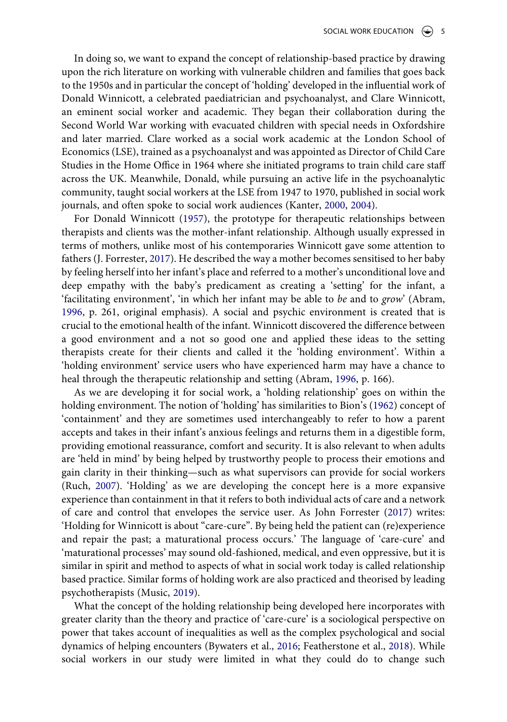In doing so, we want to expand the concept of relationship-based practice by drawing upon the rich literature on working with vulnerable children and families that goes back to the 1950s and in particular the concept of 'holding' developed in the influential work of Donald Winnicott, a celebrated paediatrician and psychoanalyst, and Clare Winnicott, an eminent social worker and academic. They began their collaboration during the Second World War working with evacuated children with special needs in Oxfordshire and later married. Clare worked as a social work academic at the London School of Economics (LSE), trained as a psychoanalyst and was appointed as Director of Child Care Studies in the Home Office in 1964 where she initiated programs to train child care staff across the UK. Meanwhile, Donald, while pursuing an active life in the psychoanalytic community, taught social workers at the LSE from 1947 to 1970, published in social work journals, and often spoke to social work audiences (Kanter, [2000,](#page-19-12) [2004](#page-19-0)).

<span id="page-6-7"></span><span id="page-6-4"></span>For Donald Winnicott [\(1957](#page-20-11)), the prototype for therapeutic relationships between therapists and clients was the mother-infant relationship. Although usually expressed in terms of mothers, unlike most of his contemporaries Winnicott gave some attention to fathers (J. Forrester, [2017\)](#page-19-13). He described the way a mother becomes sensitised to her baby by feeling herself into her infant's place and referred to a mother's unconditional love and deep empathy with the baby's predicament as creating a 'setting' for the infant, a 'facilitating environment', 'in which her infant may be able to *be* and to *grow*' (Abram, [1996](#page-18-11), p. 261, original emphasis). A social and psychic environment is created that is crucial to the emotional health of the infant. Winnicott discovered the difference between a good environment and a not so good one and applied these ideas to the setting therapists create for their clients and called it the 'holding environment'. Within a 'holding environment' service users who have experienced harm may have a chance to heal through the therapeutic relationship and setting (Abram, [1996,](#page-18-11) p. 166).

<span id="page-6-6"></span><span id="page-6-1"></span><span id="page-6-0"></span>As we are developing it for social work, a 'holding relationship' goes on within the holding environment. The notion of 'holding' has similarities to Bion's [\(1962](#page-18-12)) concept of 'containment' and they are sometimes used interchangeably to refer to how a parent accepts and takes in their infant's anxious feelings and returns them in a digestible form, providing emotional reassurance, comfort and security. It is also relevant to when adults are 'held in mind' by being helped by trustworthy people to process their emotions and gain clarity in their thinking—such as what supervisors can provide for social workers (Ruch, [2007\)](#page-20-12). 'Holding' as we are developing the concept here is a more expansive experience than containment in that it refers to both individual acts of care and a network of care and control that envelopes the service user. As John Forrester [\(2017](#page-19-13)) writes: 'Holding for Winnicott is about "care-cure". By being held the patient can (re)experience and repair the past; a maturational process occurs.' The language of 'care-cure' and 'maturational processes' may sound old-fashioned, medical, and even oppressive, but it is similar in spirit and method to aspects of what in social work today is called relationship based practice. Similar forms of holding work are also practiced and theorised by leading psychotherapists (Music, [2019\)](#page-19-14).

<span id="page-6-5"></span><span id="page-6-3"></span><span id="page-6-2"></span>What the concept of the holding relationship being developed here incorporates with greater clarity than the theory and practice of 'care-cure' is a sociological perspective on power that takes account of inequalities as well as the complex psychological and social dynamics of helping encounters (Bywaters et al., [2016;](#page-18-13) Featherstone et al., [2018](#page-18-2)). While social workers in our study were limited in what they could do to change such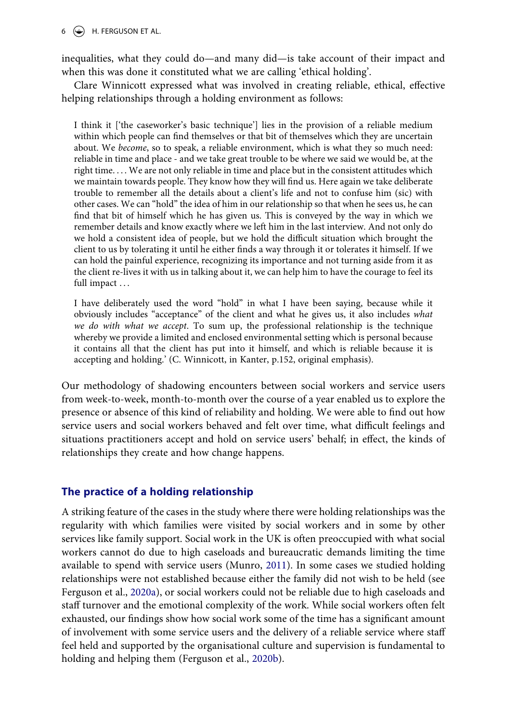# $6 \leftrightarrow$  H. FERGUSON ET AL.

inequalities, what they could do—and many did—is take account of their impact and when this was done it constituted what we are calling 'ethical holding'.

Clare Winnicott expressed what was involved in creating reliable, ethical, effective helping relationships through a holding environment as follows:

I think it ['the caseworker's basic technique'] lies in the provision of a reliable medium within which people can find themselves or that bit of themselves which they are uncertain about. We *become*, so to speak, a reliable environment, which is what they so much need: reliable in time and place - and we take great trouble to be where we said we would be, at the right time. . . . We are not only reliable in time and place but in the consistent attitudes which we maintain towards people. They know how they will find us. Here again we take deliberate trouble to remember all the details about a client's life and not to confuse him (sic) with other cases. We can "hold" the idea of him in our relationship so that when he sees us, he can find that bit of himself which he has given us. This is conveyed by the way in which we remember details and know exactly where we left him in the last interview. And not only do we hold a consistent idea of people, but we hold the difficult situation which brought the client to us by tolerating it until he either finds a way through it or tolerates it himself. If we can hold the painful experience, recognizing its importance and not turning aside from it as the client re-lives it with us in talking about it, we can help him to have the courage to feel its full impact ...

I have deliberately used the word "hold" in what I have been saying, because while it obviously includes "acceptance" of the client and what he gives us, it also includes *what we do with what we accept*. To sum up, the professional relationship is the technique whereby we provide a limited and enclosed environmental setting which is personal because it contains all that the client has put into it himself, and which is reliable because it is accepting and holding.' (C. Winnicott, in Kanter, p.152, original emphasis).

Our methodology of shadowing encounters between social workers and service users from week-to-week, month-to-month over the course of a year enabled us to explore the presence or absence of this kind of reliability and holding. We were able to find out how service users and social workers behaved and felt over time, what difficult feelings and situations practitioners accept and hold on service users' behalf; in effect, the kinds of relationships they create and how change happens.

# **The practice of a holding relationship**

<span id="page-7-1"></span><span id="page-7-0"></span>A striking feature of the cases in the study where there were holding relationships was the regularity with which families were visited by social workers and in some by other services like family support. Social work in the UK is often preoccupied with what social workers cannot do due to high caseloads and bureaucratic demands limiting the time available to spend with service users (Munro, [2011](#page-19-15)). In some cases we studied holding relationships were not established because either the family did not wish to be held (see Ferguson et al., [2020a\)](#page-18-1), or social workers could not be reliable due to high caseloads and staff turnover and the emotional complexity of the work. While social workers often felt exhausted, our findings show how social work some of the time has a significant amount of involvement with some service users and the delivery of a reliable service where staff feel held and supported by the organisational culture and supervision is fundamental to holding and helping them (Ferguson et al., [2020b\)](#page-19-16).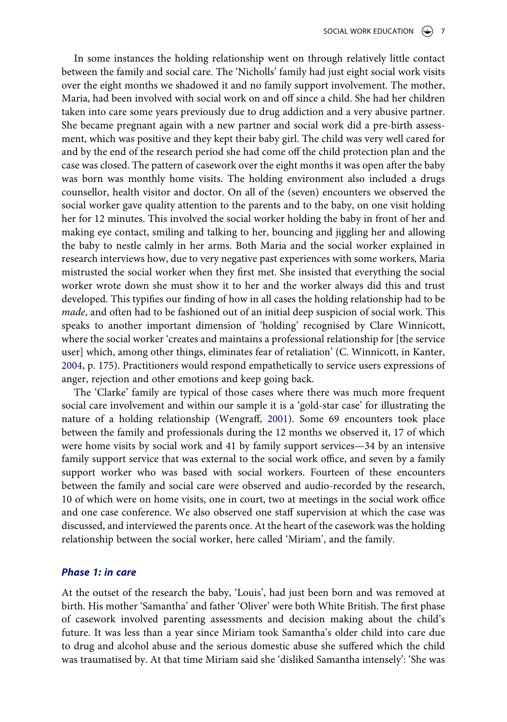In some instances the holding relationship went on through relatively little contact between the family and social care. The 'Nicholls' family had just eight social work visits over the eight months we shadowed it and no family support involvement. The mother, Maria, had been involved with social work on and off since a child. She had her children taken into care some years previously due to drug addiction and a very abusive partner. She became pregnant again with a new partner and social work did a pre-birth assessment, which was positive and they kept their baby girl. The child was very well cared for and by the end of the research period she had come off the child protection plan and the case was closed. The pattern of casework over the eight months it was open after the baby was born was monthly home visits. The holding environment also included a drugs counsellor, health visitor and doctor. On all of the (seven) encounters we observed the social worker gave quality attention to the parents and to the baby, on one visit holding her for 12 minutes. This involved the social worker holding the baby in front of her and making eye contact, smiling and talking to her, bouncing and jiggling her and allowing the baby to nestle calmly in her arms. Both Maria and the social worker explained in research interviews how, due to very negative past experiences with some workers, Maria mistrusted the social worker when they first met. She insisted that everything the social worker wrote down she must show it to her and the worker always did this and trust developed. This typifies our finding of how in all cases the holding relationship had to be *made*, and often had to be fashioned out of an initial deep suspicion of social work. This speaks to another important dimension of 'holding' recognised by Clare Winnicott, where the social worker 'creates and maintains a professional relationship for [the service user] which, among other things, eliminates fear of retaliation' (C. Winnicott, in Kanter, [2004](#page-19-0), p. 175). Practitioners would respond empathetically to service users expressions of anger, rejection and other emotions and keep going back.

The 'Clarke' family are typical of those cases where there was much more frequent social care involvement and within our sample it is a 'gold-star case' for illustrating the nature of a holding relationship (Wengraff, [2001](#page-20-4)). Some 69 encounters took place between the family and professionals during the 12 months we observed it, 17 of which were home visits by social work and 41 by family support services—34 by an intensive family support service that was external to the social work office, and seven by a family support worker who was based with social workers. Fourteen of these encounters between the family and social care were observed and audio-recorded by the research, 10 of which were on home visits, one in court, two at meetings in the social work office and one case conference. We also observed one staff supervision at which the case was discussed, and interviewed the parents once. At the heart of the casework was the holding relationship between the social worker, here called 'Miriam', and the family.

## *Phase 1: in care*

At the outset of the research the baby, 'Louis', had just been born and was removed at birth. His mother 'Samantha' and father 'Oliver' were both White British. The first phase of casework involved parenting assessments and decision making about the child's future. It was less than a year since Miriam took Samantha's older child into care due to drug and alcohol abuse and the serious domestic abuse she suffered which the child was traumatised by. At that time Miriam said she 'disliked Samantha intensely': 'She was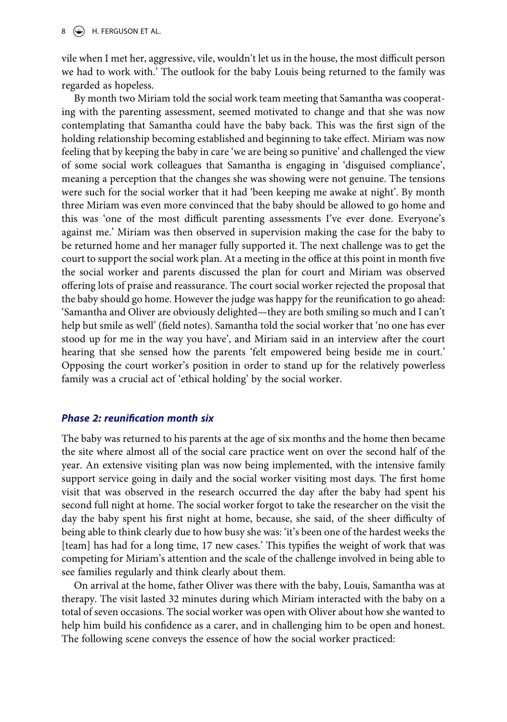$\left(\frac{\sqrt{2}}{2}\right)$  H. FERGUSON ET AL.

vile when I met her, aggressive, vile, wouldn't let us in the house, the most difficult person we had to work with.' The outlook for the baby Louis being returned to the family was regarded as hopeless.

By month two Miriam told the social work team meeting that Samantha was cooperating with the parenting assessment, seemed motivated to change and that she was now contemplating that Samantha could have the baby back. This was the first sign of the holding relationship becoming established and beginning to take effect. Miriam was now feeling that by keeping the baby in care 'we are being so punitive' and challenged the view of some social work colleagues that Samantha is engaging in 'disguised compliance', meaning a perception that the changes she was showing were not genuine. The tensions were such for the social worker that it had 'been keeping me awake at night'. By month three Miriam was even more convinced that the baby should be allowed to go home and this was 'one of the most difficult parenting assessments I've ever done. Everyone's against me.' Miriam was then observed in supervision making the case for the baby to be returned home and her manager fully supported it. The next challenge was to get the court to support the social work plan. At a meeting in the office at this point in month five the social worker and parents discussed the plan for court and Miriam was observed offering lots of praise and reassurance. The court social worker rejected the proposal that the baby should go home. However the judge was happy for the reunification to go ahead: 'Samantha and Oliver are obviously delighted—they are both smiling so much and I can't help but smile as well' (field notes). Samantha told the social worker that 'no one has ever stood up for me in the way you have', and Miriam said in an interview after the court hearing that she sensed how the parents 'felt empowered being beside me in court.' Opposing the court worker's position in order to stand up for the relatively powerless family was a crucial act of 'ethical holding' by the social worker.

# *Phase 2: reunification month six*

The baby was returned to his parents at the age of six months and the home then became the site where almost all of the social care practice went on over the second half of the year. An extensive visiting plan was now being implemented, with the intensive family support service going in daily and the social worker visiting most days. The first home visit that was observed in the research occurred the day after the baby had spent his second full night at home. The social worker forgot to take the researcher on the visit the day the baby spent his first night at home, because, she said, of the sheer difficulty of being able to think clearly due to how busy she was: 'it's been one of the hardest weeks the [team] has had for a long time, 17 new cases.' This typifies the weight of work that was competing for Miriam's attention and the scale of the challenge involved in being able to see families regularly and think clearly about them.

On arrival at the home, father Oliver was there with the baby, Louis, Samantha was at therapy. The visit lasted 32 minutes during which Miriam interacted with the baby on a total of seven occasions. The social worker was open with Oliver about how she wanted to help him build his confidence as a carer, and in challenging him to be open and honest. The following scene conveys the essence of how the social worker practiced: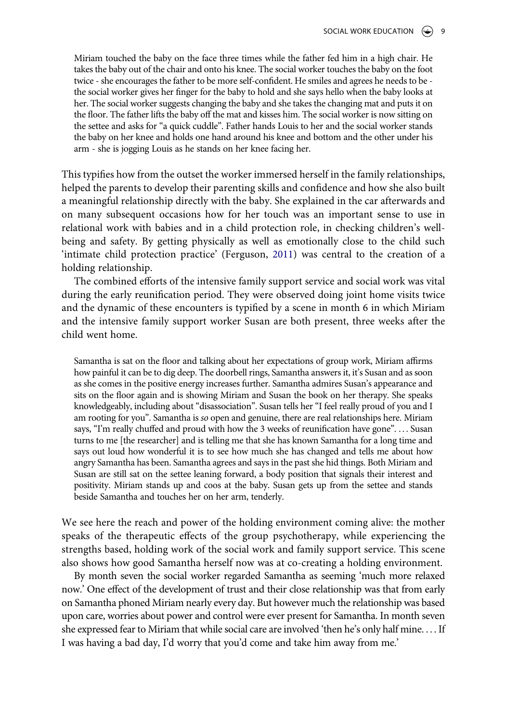Miriam touched the baby on the face three times while the father fed him in a high chair. He takes the baby out of the chair and onto his knee. The social worker touches the baby on the foot twice - she encourages the father to be more self-confident. He smiles and agrees he needs to be the social worker gives her finger for the baby to hold and she says hello when the baby looks at her. The social worker suggests changing the baby and she takes the changing mat and puts it on the floor. The father lifts the baby off the mat and kisses him. The social worker is now sitting on the settee and asks for "a quick cuddle". Father hands Louis to her and the social worker stands the baby on her knee and holds one hand around his knee and bottom and the other under his arm - she is jogging Louis as he stands on her knee facing her.

This typifies how from the outset the worker immersed herself in the family relationships, helped the parents to develop their parenting skills and confidence and how she also built a meaningful relationship directly with the baby. She explained in the car afterwards and on many subsequent occasions how for her touch was an important sense to use in relational work with babies and in a child protection role, in checking children's wellbeing and safety. By getting physically as well as emotionally close to the child such 'intimate child protection practice' (Ferguson, [2011\)](#page-18-3) was central to the creation of a holding relationship.

The combined efforts of the intensive family support service and social work was vital during the early reunification period. They were observed doing joint home visits twice and the dynamic of these encounters is typified by a scene in month 6 in which Miriam and the intensive family support worker Susan are both present, three weeks after the child went home.

Samantha is sat on the floor and talking about her expectations of group work, Miriam affirms how painful it can be to dig deep. The doorbell rings, Samantha answers it, it's Susan and as soon as she comes in the positive energy increases further. Samantha admires Susan's appearance and sits on the floor again and is showing Miriam and Susan the book on her therapy. She speaks knowledgeably, including about "disassociation". Susan tells her "I feel really proud of you and I am rooting for you". Samantha is *so* open and genuine, there are real relationships here. Miriam says, "I'm really chuffed and proud with how the 3 weeks of reunification have gone".... Susan turns to me [the researcher] and is telling me that she has known Samantha for a long time and says out loud how wonderful it is to see how much she has changed and tells me about how angry Samantha has been. Samantha agrees and says in the past she hid things. Both Miriam and Susan are still sat on the settee leaning forward, a body position that signals their interest and positivity. Miriam stands up and coos at the baby. Susan gets up from the settee and stands beside Samantha and touches her on her arm, tenderly.

We see here the reach and power of the holding environment coming alive: the mother speaks of the therapeutic effects of the group psychotherapy, while experiencing the strengths based, holding work of the social work and family support service. This scene also shows how good Samantha herself now was at co-creating a holding environment.

By month seven the social worker regarded Samantha as seeming 'much more relaxed now.' One effect of the development of trust and their close relationship was that from early on Samantha phoned Miriam nearly every day. But however much the relationship was based upon care, worries about power and control were ever present for Samantha. In month seven she expressed fear to Miriam that while social care are involved 'then he's only half mine. . . . If I was having a bad day, I'd worry that you'd come and take him away from me.'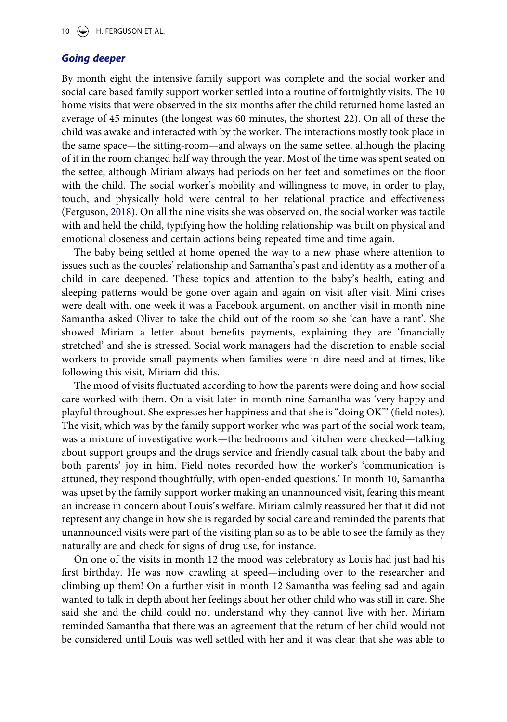# *Going deeper*

By month eight the intensive family support was complete and the social worker and social care based family support worker settled into a routine of fortnightly visits. The 10 home visits that were observed in the six months after the child returned home lasted an average of 45 minutes (the longest was 60 minutes, the shortest 22). On all of these the child was awake and interacted with by the worker. The interactions mostly took place in the same space—the sitting-room—and always on the same settee, although the placing of it in the room changed half way through the year. Most of the time was spent seated on the settee, although Miriam always had periods on her feet and sometimes on the floor with the child. The social worker's mobility and willingness to move, in order to play, touch, and physically hold were central to her relational practice and effectiveness (Ferguson, [2018\)](#page-18-14). On all the nine visits she was observed on, the social worker was tactile with and held the child, typifying how the holding relationship was built on physical and emotional closeness and certain actions being repeated time and time again.

<span id="page-11-0"></span>The baby being settled at home opened the way to a new phase where attention to issues such as the couples' relationship and Samantha's past and identity as a mother of a child in care deepened. These topics and attention to the baby's health, eating and sleeping patterns would be gone over again and again on visit after visit. Mini crises were dealt with, one week it was a Facebook argument, on another visit in month nine Samantha asked Oliver to take the child out of the room so she 'can have a rant'. She showed Miriam a letter about benefits payments, explaining they are 'financially stretched' and she is stressed. Social work managers had the discretion to enable social workers to provide small payments when families were in dire need and at times, like following this visit, Miriam did this.

The mood of visits fluctuated according to how the parents were doing and how social care worked with them. On a visit later in month nine Samantha was 'very happy and playful throughout. She expresses her happiness and that she is "doing OK"' (field notes). The visit, which was by the family support worker who was part of the social work team, was a mixture of investigative work—the bedrooms and kitchen were checked—talking about support groups and the drugs service and friendly casual talk about the baby and both parents' joy in him. Field notes recorded how the worker's 'communication is attuned, they respond thoughtfully, with open-ended questions.' In month 10, Samantha was upset by the family support worker making an unannounced visit, fearing this meant an increase in concern about Louis's welfare. Miriam calmly reassured her that it did not represent any change in how she is regarded by social care and reminded the parents that unannounced visits were part of the visiting plan so as to be able to see the family as they naturally are and check for signs of drug use, for instance.

On one of the visits in month 12 the mood was celebratory as Louis had just had his first birthday. He was now crawling at speed—including over to the researcher and climbing up them! On a further visit in month 12 Samantha was feeling sad and again wanted to talk in depth about her feelings about her other child who was still in care. She said she and the child could not understand why they cannot live with her. Miriam reminded Samantha that there was an agreement that the return of her child would not be considered until Louis was well settled with her and it was clear that she was able to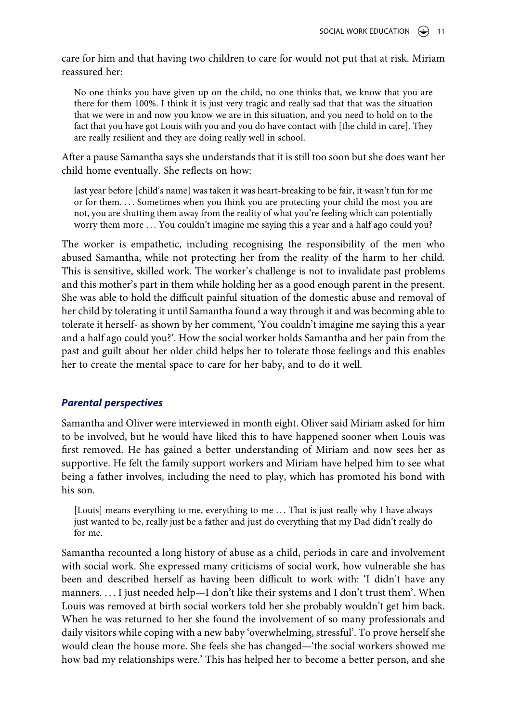care for him and that having two children to care for would not put that at risk. Miriam reassured her:

No one thinks you have given up on the child, no one thinks that, we know that you are there for them 100%. I think it is just very tragic and really sad that that was the situation that we were in and now you know we are in this situation, and you need to hold on to the fact that you have got Louis with you and you do have contact with [the child in care]. They are really resilient and they are doing really well in school.

After a pause Samantha says she understands that it is still too soon but she does want her child home eventually. She reflects on how:

last year before [child's name] was taken it was heart-breaking to be fair, it wasn't fun for me or for them. . . . Sometimes when you think you are protecting your child the most you are not, you are shutting them away from the reality of what you're feeling which can potentially worry them more ... You couldn't imagine me saying this a year and a half ago could you?

The worker is empathetic, including recognising the responsibility of the men who abused Samantha, while not protecting her from the reality of the harm to her child. This is sensitive, skilled work. The worker's challenge is not to invalidate past problems and this mother's part in them while holding her as a good enough parent in the present. She was able to hold the difficult painful situation of the domestic abuse and removal of her child by tolerating it until Samantha found a way through it and was becoming able to tolerate it herself- as shown by her comment, 'You couldn't imagine me saying this a year and a half ago could you?'. How the social worker holds Samantha and her pain from the past and guilt about her older child helps her to tolerate those feelings and this enables her to create the mental space to care for her baby, and to do it well.

# *Parental perspectives*

Samantha and Oliver were interviewed in month eight. Oliver said Miriam asked for him to be involved, but he would have liked this to have happened sooner when Louis was first removed. He has gained a better understanding of Miriam and now sees her as supportive. He felt the family support workers and Miriam have helped him to see what being a father involves, including the need to play, which has promoted his bond with his son.

[Louis] means everything to me, everything to me ... That is just really why I have always just wanted to be, really just be a father and just do everything that my Dad didn't really do for me.

Samantha recounted a long history of abuse as a child, periods in care and involvement with social work. She expressed many criticisms of social work, how vulnerable she has been and described herself as having been difficult to work with: 'I didn't have any manners. . . . I just needed help—I don't like their systems and I don't trust them'. When Louis was removed at birth social workers told her she probably wouldn't get him back. When he was returned to her she found the involvement of so many professionals and daily visitors while coping with a new baby 'overwhelming, stressful'. To prove herself she would clean the house more. She feels she has changed—'the social workers showed me how bad my relationships were.' This has helped her to become a better person, and she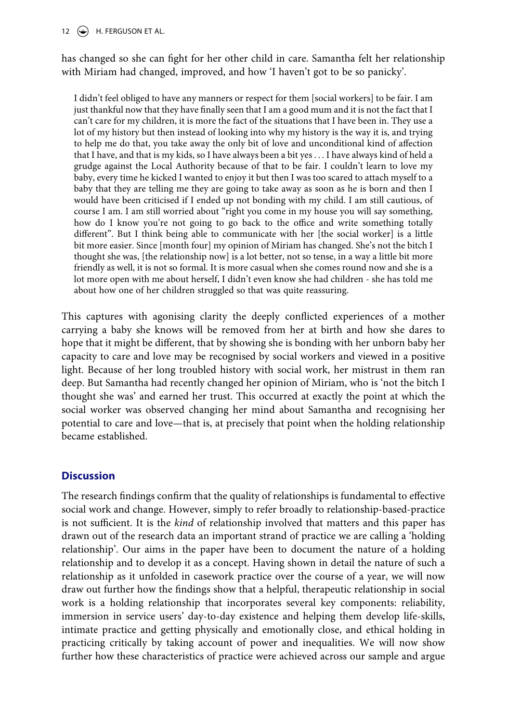12  $\leftrightarrow$  H. FERGUSON ET AL.

has changed so she can fight for her other child in care. Samantha felt her relationship with Miriam had changed, improved, and how 'I haven't got to be so panicky'.

I didn't feel obliged to have any manners or respect for them [social workers] to be fair. I am just thankful now that they have finally seen that I am a good mum and it is not the fact that I can't care for my children, it is more the fact of the situations that I have been in. They use a lot of my history but then instead of looking into why my history is the way it is, and trying to help me do that, you take away the only bit of love and unconditional kind of affection that I have, and that is my kids, so I have always been a bit yes . . . I have always kind of held a grudge against the Local Authority because of that to be fair. I couldn't learn to love my baby, every time he kicked I wanted to enjoy it but then I was too scared to attach myself to a baby that they are telling me they are going to take away as soon as he is born and then I would have been criticised if I ended up not bonding with my child. I am still cautious, of course I am. I am still worried about "right you come in my house you will say something, how do I know you're not going to go back to the office and write something totally different". But I think being able to communicate with her [the social worker] is a little bit more easier. Since [month four] my opinion of Miriam has changed. She's not the bitch I thought she was, [the relationship now] is a lot better, not so tense, in a way a little bit more friendly as well, it is not so formal. It is more casual when she comes round now and she is a lot more open with me about herself, I didn't even know she had children - she has told me about how one of her children struggled so that was quite reassuring.

This captures with agonising clarity the deeply conflicted experiences of a mother carrying a baby she knows will be removed from her at birth and how she dares to hope that it might be different, that by showing she is bonding with her unborn baby her capacity to care and love may be recognised by social workers and viewed in a positive light. Because of her long troubled history with social work, her mistrust in them ran deep. But Samantha had recently changed her opinion of Miriam, who is 'not the bitch I thought she was' and earned her trust. This occurred at exactly the point at which the social worker was observed changing her mind about Samantha and recognising her potential to care and love—that is, at precisely that point when the holding relationship became established.

# **Discussion**

The research findings confirm that the quality of relationships is fundamental to effective social work and change. However, simply to refer broadly to relationship-based-practice is not sufficient. It is the *kind* of relationship involved that matters and this paper has drawn out of the research data an important strand of practice we are calling a 'holding relationship'. Our aims in the paper have been to document the nature of a holding relationship and to develop it as a concept. Having shown in detail the nature of such a relationship as it unfolded in casework practice over the course of a year, we will now draw out further how the findings show that a helpful, therapeutic relationship in social work is a holding relationship that incorporates several key components: reliability, immersion in service users' day-to-day existence and helping them develop life-skills, intimate practice and getting physically and emotionally close, and ethical holding in practicing critically by taking account of power and inequalities. We will now show further how these characteristics of practice were achieved across our sample and argue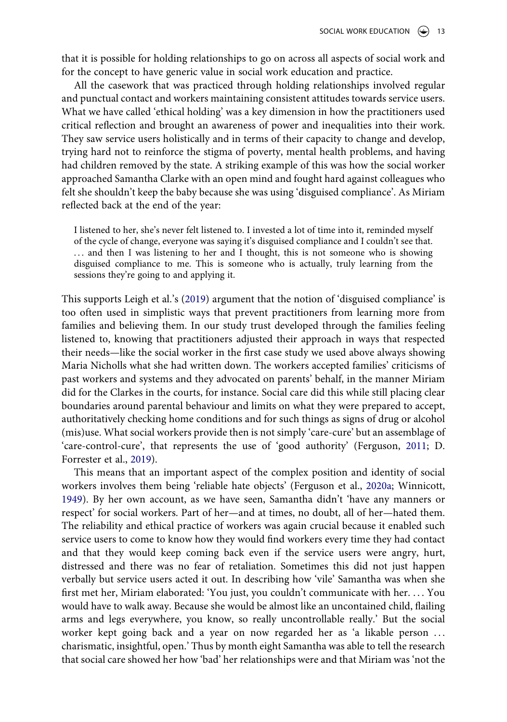that it is possible for holding relationships to go on across all aspects of social work and for the concept to have generic value in social work education and practice.

All the casework that was practiced through holding relationships involved regular and punctual contact and workers maintaining consistent attitudes towards service users. What we have called 'ethical holding' was a key dimension in how the practitioners used critical reflection and brought an awareness of power and inequalities into their work. They saw service users holistically and in terms of their capacity to change and develop, trying hard not to reinforce the stigma of poverty, mental health problems, and having had children removed by the state. A striking example of this was how the social worker approached Samantha Clarke with an open mind and fought hard against colleagues who felt she shouldn't keep the baby because she was using 'disguised compliance'. As Miriam reflected back at the end of the year:

I listened to her, she's never felt listened to. I invested a lot of time into it, reminded myself of the cycle of change, everyone was saying it's disguised compliance and I couldn't see that. ... and then I was listening to her and I thought, this is not someone who is showing disguised compliance to me. This is someone who is actually, truly learning from the sessions they're going to and applying it.

<span id="page-14-0"></span>This supports Leigh et al.'s [\(2019](#page-19-17)) argument that the notion of 'disguised compliance' is too often used in simplistic ways that prevent practitioners from learning more from families and believing them. In our study trust developed through the families feeling listened to, knowing that practitioners adjusted their approach in ways that respected their needs—like the social worker in the first case study we used above always showing Maria Nicholls what she had written down. The workers accepted families' criticisms of past workers and systems and they advocated on parents' behalf, in the manner Miriam did for the Clarkes in the courts, for instance. Social care did this while still placing clear boundaries around parental behaviour and limits on what they were prepared to accept, authoritatively checking home conditions and for such things as signs of drug or alcohol (mis)use. What social workers provide then is not simply 'care-cure' but an assemblage of 'care-control-cure', that represents the use of 'good authority' (Ferguson, [2011](#page-18-3); D. Forrester et al., [2019](#page-19-7)).

<span id="page-14-1"></span>This means that an important aspect of the complex position and identity of social workers involves them being 'reliable hate objects' (Ferguson et al., [2020a](#page-18-1); Winnicott, [1949](#page-20-13)). By her own account, as we have seen, Samantha didn't 'have any manners or respect' for social workers. Part of her—and at times, no doubt, all of her—hated them. The reliability and ethical practice of workers was again crucial because it enabled such service users to come to know how they would find workers every time they had contact and that they would keep coming back even if the service users were angry, hurt, distressed and there was no fear of retaliation. Sometimes this did not just happen verbally but service users acted it out. In describing how 'vile' Samantha was when she first met her, Miriam elaborated: 'You just, you couldn't communicate with her. . . . You would have to walk away. Because she would be almost like an uncontained child, flailing arms and legs everywhere, you know, so really uncontrollable really.' But the social worker kept going back and a year on now regarded her as 'a likable person ... charismatic, insightful, open.' Thus by month eight Samantha was able to tell the research that social care showed her how 'bad' her relationships were and that Miriam was 'not the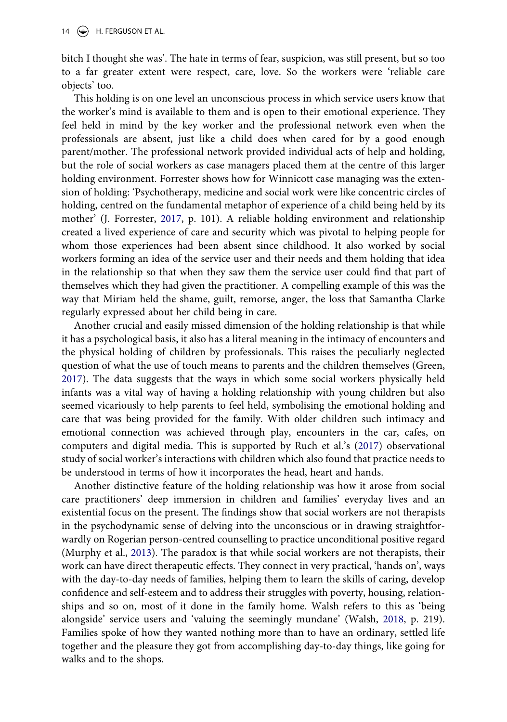bitch I thought she was'. The hate in terms of fear, suspicion, was still present, but so too to a far greater extent were respect, care, love. So the workers were 'reliable care objects' too.

This holding is on one level an unconscious process in which service users know that the worker's mind is available to them and is open to their emotional experience. They feel held in mind by the key worker and the professional network even when the professionals are absent, just like a child does when cared for by a good enough parent/mother. The professional network provided individual acts of help and holding, but the role of social workers as case managers placed them at the centre of this larger holding environment. Forrester shows how for Winnicott case managing was the extension of holding: 'Psychotherapy, medicine and social work were like concentric circles of holding, centred on the fundamental metaphor of experience of a child being held by its mother' (J. Forrester, [2017](#page-19-13), p. 101). A reliable holding environment and relationship created a lived experience of care and security which was pivotal to helping people for whom those experiences had been absent since childhood. It also worked by social workers forming an idea of the service user and their needs and them holding that idea in the relationship so that when they saw them the service user could find that part of themselves which they had given the practitioner. A compelling example of this was the way that Miriam held the shame, guilt, remorse, anger, the loss that Samantha Clarke regularly expressed about her child being in care.

<span id="page-15-0"></span>Another crucial and easily missed dimension of the holding relationship is that while it has a psychological basis, it also has a literal meaning in the intimacy of encounters and the physical holding of children by professionals. This raises the peculiarly neglected question of what the use of touch means to parents and the children themselves (Green, [2017](#page-19-18)). The data suggests that the ways in which some social workers physically held infants was a vital way of having a holding relationship with young children but also seemed vicariously to help parents to feel held, symbolising the emotional holding and care that was being provided for the family. With older children such intimacy and emotional connection was achieved through play, encounters in the car, cafes, on computers and digital media. This is supported by Ruch et al.'s ([2017\)](#page-20-9) observational study of social worker's interactions with children which also found that practice needs to be understood in terms of how it incorporates the head, heart and hands.

<span id="page-15-2"></span><span id="page-15-1"></span>Another distinctive feature of the holding relationship was how it arose from social care practitioners' deep immersion in children and families' everyday lives and an existential focus on the present. The findings show that social workers are not therapists in the psychodynamic sense of delving into the unconscious or in drawing straightforwardly on Rogerian person-centred counselling to practice unconditional positive regard (Murphy et al., [2013\)](#page-19-19). The paradox is that while social workers are not therapists, their work can have direct therapeutic effects. They connect in very practical, 'hands on', ways with the day-to-day needs of families, helping them to learn the skills of caring, develop confidence and self-esteem and to address their struggles with poverty, housing, relationships and so on, most of it done in the family home. Walsh refers to this as 'being alongside' service users and 'valuing the seemingly mundane' (Walsh, [2018,](#page-20-14) p. 219). Families spoke of how they wanted nothing more than to have an ordinary, settled life together and the pleasure they got from accomplishing day-to-day things, like going for walks and to the shops.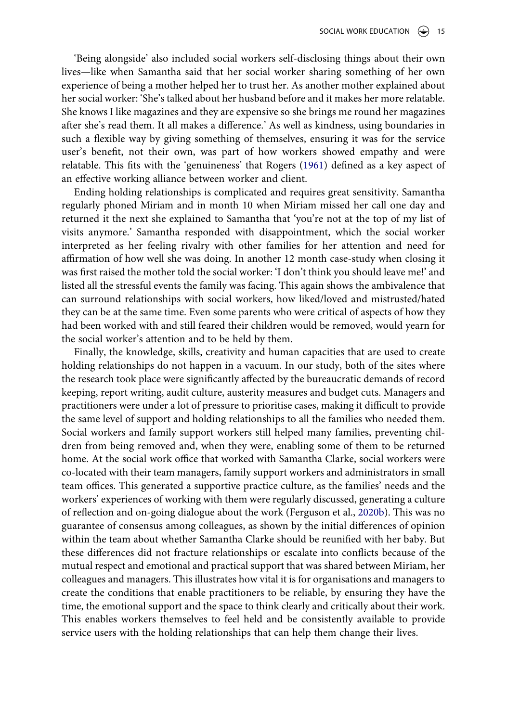'Being alongside' also included social workers self-disclosing things about their own lives—like when Samantha said that her social worker sharing something of her own experience of being a mother helped her to trust her. As another mother explained about her social worker: 'She's talked about her husband before and it makes her more relatable. She knows I like magazines and they are expensive so she brings me round her magazines after she's read them. It all makes a difference.' As well as kindness, using boundaries in such a flexible way by giving something of themselves, ensuring it was for the service user's benefit, not their own, was part of how workers showed empathy and were relatable. This fits with the 'genuineness' that Rogers [\(1961](#page-19-20)) defined as a key aspect of an effective working alliance between worker and client.

<span id="page-16-0"></span>Ending holding relationships is complicated and requires great sensitivity. Samantha regularly phoned Miriam and in month 10 when Miriam missed her call one day and returned it the next she explained to Samantha that 'you're not at the top of my list of visits anymore.' Samantha responded with disappointment, which the social worker interpreted as her feeling rivalry with other families for her attention and need for affirmation of how well she was doing. In another 12 month case-study when closing it was first raised the mother told the social worker: 'I don't think you should leave me!' and listed all the stressful events the family was facing. This again shows the ambivalence that can surround relationships with social workers, how liked/loved and mistrusted/hated they can be at the same time. Even some parents who were critical of aspects of how they had been worked with and still feared their children would be removed, would yearn for the social worker's attention and to be held by them.

Finally, the knowledge, skills, creativity and human capacities that are used to create holding relationships do not happen in a vacuum. In our study, both of the sites where the research took place were significantly affected by the bureaucratic demands of record keeping, report writing, audit culture, austerity measures and budget cuts. Managers and practitioners were under a lot of pressure to prioritise cases, making it difficult to provide the same level of support and holding relationships to all the families who needed them. Social workers and family support workers still helped many families, preventing children from being removed and, when they were, enabling some of them to be returned home. At the social work office that worked with Samantha Clarke, social workers were co-located with their team managers, family support workers and administrators in small team offices. This generated a supportive practice culture, as the families' needs and the workers' experiences of working with them were regularly discussed, generating a culture of reflection and on-going dialogue about the work (Ferguson et al., [2020b](#page-18-1)). This was no guarantee of consensus among colleagues, as shown by the initial differences of opinion within the team about whether Samantha Clarke should be reunified with her baby. But these differences did not fracture relationships or escalate into conflicts because of the mutual respect and emotional and practical support that was shared between Miriam, her colleagues and managers. This illustrates how vital it is for organisations and managers to create the conditions that enable practitioners to be reliable, by ensuring they have the time, the emotional support and the space to think clearly and critically about their work. This enables workers themselves to feel held and be consistently available to provide service users with the holding relationships that can help them change their lives.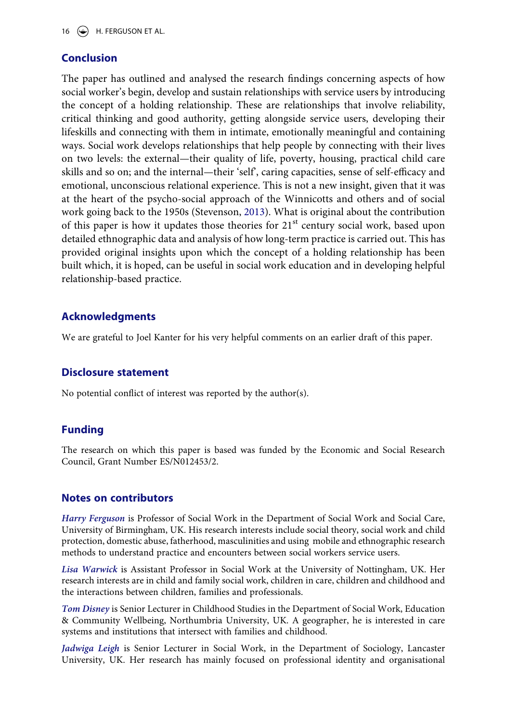16  $\leftarrow$  H. FERGUSON ET AL.

# **Conclusion**

The paper has outlined and analysed the research findings concerning aspects of how social worker's begin, develop and sustain relationships with service users by introducing the concept of a holding relationship. These are relationships that involve reliability, critical thinking and good authority, getting alongside service users, developing their lifeskills and connecting with them in intimate, emotionally meaningful and containing ways. Social work develops relationships that help people by connecting with their lives on two levels: the external—their quality of life, poverty, housing, practical child care skills and so on; and the internal—their 'self', caring capacities, sense of self-efficacy and emotional, unconscious relational experience. This is not a new insight, given that it was at the heart of the psycho-social approach of the Winnicotts and others and of social work going back to the 1950s (Stevenson, [2013\)](#page-20-15). What is original about the contribution of this paper is how it updates those theories for  $21<sup>st</sup>$  century social work, based upon detailed ethnographic data and analysis of how long-term practice is carried out. This has provided original insights upon which the concept of a holding relationship has been built which, it is hoped, can be useful in social work education and in developing helpful relationship-based practice.

# <span id="page-17-0"></span>**Acknowledgments**

We are grateful to Joel Kanter for his very helpful comments on an earlier draft of this paper.

# **Disclosure statement**

No potential conflict of interest was reported by the author(s).

# **Funding**

The research on which this paper is based was funded by the Economic and Social Research Council, Grant Number ES/N012453/2.

#### **Notes on contributors**

*Harry Ferguson* is Professor of Social Work in the Department of Social Work and Social Care, University of Birmingham, UK. His research interests include social theory, social work and child protection, domestic abuse, fatherhood, masculinities and using mobile and ethnographic research methods to understand practice and encounters between social workers service users.

*Lisa Warwick* is Assistant Professor in Social Work at the University of Nottingham, UK. Her research interests are in child and family social work, children in care, children and childhood and the interactions between children, families and professionals.

*Tom Disney* is Senior Lecturer in Childhood Studies in the Department of Social Work, Education & Community Wellbeing, Northumbria University, UK. A geographer, he is interested in care systems and institutions that intersect with families and childhood.

*Jadwiga Leigh* is Senior Lecturer in Social Work, in the Department of Sociology, Lancaster University, UK. Her research has mainly focused on professional identity and organisational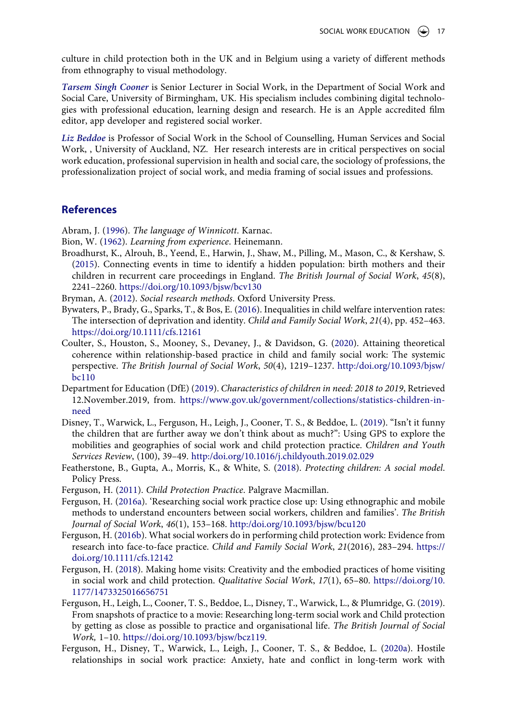culture in child protection both in the UK and in Belgium using a variety of different methods from ethnography to visual methodology.

*Tarsem Singh Cooner* is Senior Lecturer in Social Work, in the Department of Social Work and Social Care, University of Birmingham, UK. His specialism includes combining digital technologies with professional education, learning design and research. He is an Apple accredited film editor, app developer and registered social worker.

*Liz Beddoe* is Professor of Social Work in the School of Counselling, Human Services and Social Work, , University of Auckland, NZ. Her research interests are in critical perspectives on social work education, professional supervision in health and social care, the sociology of professions, the professionalization project of social work, and media framing of social issues and professions.

# **References**

<span id="page-18-11"></span>Abram, J. ([1996](#page-6-0)). *The language of Winnicott*. Karnac.

<span id="page-18-12"></span>Bion, W. [\(1962\)](#page-6-1). *Learning from experience*. Heinemann.

- <span id="page-18-10"></span>Broadhurst, K., Alrouh, B., Yeend, E., Harwin, J., Shaw, M., Pilling, M., Mason, C., & Kershaw, S. [\(2015\)](#page-5-0). Connecting events in time to identify a hidden population: birth mothers and their children in recurrent care proceedings in England. *The British Journal of Social Work*, *45*(8), 2241–2260. <https://doi.org/10.1093/bjsw/bcv130>
- <span id="page-18-6"></span>Bryman, A. [\(2012](#page-4-0)). *Social research methods*. Oxford University Press.
- <span id="page-18-13"></span>Bywaters, P., Brady, G., Sparks, T., & Bos, E. [\(2016\)](#page-6-2). Inequalities in child welfare intervention rates: The intersection of deprivation and identity. *Child and Family Social Work*, *21*(4), pp. 452–463. <https://doi.org/10.1111/cfs.12161>
- <span id="page-18-7"></span>Coulter, S., Houston, S., Mooney, S., Devaney, J., & Davidson, G. ([2020\)](#page-5-1). Attaining theoretical coherence within relationship-based practice in child and family social work: The systemic perspective. *The British Journal of Social Work*, *50*(4), 1219–1237. [http:/doi.org/10.1093/bjsw/](http:/doi.org/10.1093/bjsw/bc110) [bc110](http:/doi.org/10.1093/bjsw/bc110)
- <span id="page-18-9"></span>Department for Education (DfE) ([2019\)](#page-5-2). *Characteristics of children in need: 2018 to 2019*, Retrieved 12.November.2019, from. [https://www.gov.uk/government/collections/statistics-children-in](https://www.gov.uk/government/collections/statistics-children-in-need)[need](https://www.gov.uk/government/collections/statistics-children-in-need)
- <span id="page-18-4"></span>Disney, T., Warwick, L., Ferguson, H., Leigh, J., Cooner, T. S., & Beddoe, L. ([2019](#page-4-1)). "Isn't it funny the children that are further away we don't think about as much?": Using GPS to explore the mobilities and geographies of social work and child protection practice. *Children and Youth Services Review*, (100), 39–49. <http:/doi.org/10.1016/j.childyouth.2019.02.029>
- <span id="page-18-2"></span>Featherstone, B., Gupta, A., Morris, K., & White, S. ([2018](#page-3-0)). *Protecting children: A social model*. Policy Press.
- <span id="page-18-3"></span>Ferguson, H. ([2011](#page-3-1)). *Child Protection Practice*. Palgrave Macmillan.
- <span id="page-18-5"></span>Ferguson, H. [\(2016a\)](#page-4-1). 'Researching social work practice close up: Using ethnographic and mobile methods to understand encounters between social workers, children and families'. *The British Journal of Social Work*, *46*(1), 153–168. <http:/doi.org/10.1093/bjsw/bcu120>
- <span id="page-18-8"></span>Ferguson, H. [\(2016b](#page-5-3)). What social workers do in performing child protection work: Evidence from research into face-to-face practice. *Child and Family Social Work*, *21*(2016), 283–294. [https://](https://doi.org/10.1111/cfs.12142) [doi.org/10.1111/cfs.12142](https://doi.org/10.1111/cfs.12142)
- <span id="page-18-14"></span>Ferguson, H. ([2018\)](#page-11-0). Making home visits: Creativity and the embodied practices of home visiting in social work and child protection. *Qualitative Social Work*, *17*(1), 65–80. [https://doi.org/10.](https://doi.org/10.1177/1473325016656751) [1177/1473325016656751](https://doi.org/10.1177/1473325016656751)
- <span id="page-18-0"></span>Ferguson, H., Leigh, L., Cooner, T. S., Beddoe, L., Disney, T., Warwick, L., & Plumridge, G. [\(2019\)](#page-3-2). From snapshots of practice to a movie: Researching long-term social work and Child protection by getting as close as possible to practice and organisational life. *The British Journal of Social Work,* 1–10. [https://doi.org/10.1093/bjsw/bcz119.](https://doi.org/10.1093/bjsw/bcz119)
- <span id="page-18-1"></span>Ferguson, H., Disney, T., Warwick, L., Leigh, J., Cooner, T. S., & Beddoe, L. [\(2020a](#page-3-3)). Hostile relationships in social work practice: Anxiety, hate and conflict in long-term work with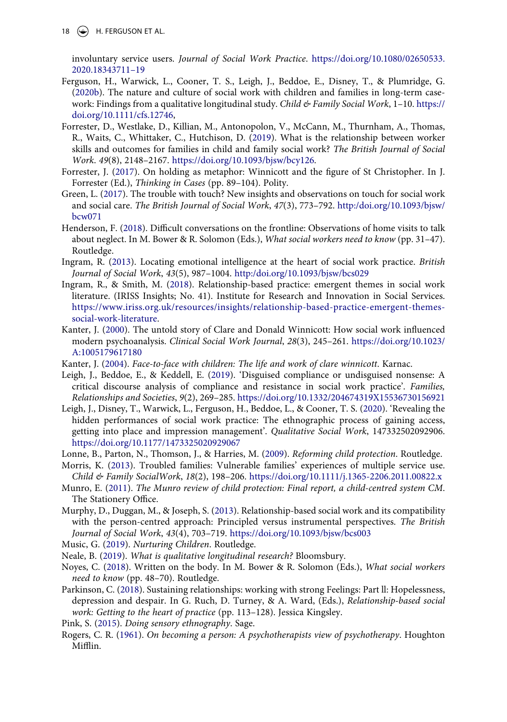18  $\bigoplus$  H. FERGUSON ET AL.

involuntary service users. *Journal of Social Work Practice*. [https://doi.org/10.1080/02650533.](https://doi.org/10.1080/02650533.2020.18343711%201319) [2020.18343711–19](https://doi.org/10.1080/02650533.2020.18343711%201319)

- <span id="page-19-16"></span>Ferguson, H., Warwick, L., Cooner, T. S., Leigh, J., Beddoe, E., Disney, T., & Plumridge, G. [\(2020b](#page-7-0)). The nature and culture of social work with children and families in long-term casework: Findings from a qualitative longitudinal study. *Child & Family Social Work*, 1–10. [https://](https://doi.org/10.1111/cfs.12746,) [doi.org/10.1111/cfs.12746](https://doi.org/10.1111/cfs.12746,),
- <span id="page-19-7"></span>Forrester, D., Westlake, D., Killian, M., Antonopolon, V., McCann, M., Thurnham, A., Thomas, R., Waits, C., Whittaker, C., Hutchison, D. ([2019\)](#page-5-3). What is the relationship between worker skills and outcomes for families in child and family social work? *The British Journal of Social Work*. *49*(8), 2148–2167. [https://doi.org/10.1093/bjsw/bcy126.](https://doi.org/10.1093/bjsw/bcy126)
- <span id="page-19-13"></span>Forrester, J. [\(2017\)](#page-6-3). On holding as metaphor: Winnicott and the figure of St Christopher. In J. Forrester (Ed.), *Thinking in Cases* (pp. 89–104). Polity.
- <span id="page-19-18"></span>Green, L. ([2017](#page-15-0)). The trouble with touch? New insights and observations on touch for social work and social care. *The British Journal of Social Work*, *47*(3), 773–792. [http:/doi.org/10.1093/bjsw/](http:/doi.org/10.1093/bjsw/bcw071) [bcw071](http:/doi.org/10.1093/bjsw/bcw071)
- <span id="page-19-8"></span>Henderson, F. [\(2018](#page-5-3)). Difficult conversations on the frontline: Observations of home visits to talk about neglect. In M. Bower & R. Solomon (Eds.), *What social workers need to know* (pp. 31–47). Routledge.
- <span id="page-19-5"></span>Ingram, R. [\(2013](#page-5-4)). Locating emotional intelligence at the heart of social work practice. *British Journal of Social Work*, *43*(5), 987–1004. <http:/doi.org/10.1093/bjsw/bcs029>
- <span id="page-19-4"></span>Ingram, R., & Smith, M. [\(2018\)](#page-5-5). Relationship-based practice: emergent themes in social work literature. (IRISS Insights; No. 41). Institute for Research and Innovation in Social Services. [https://www.iriss.org.uk/resources/insights/relationship-based-practice-emergent-themes](https://www.iriss.org.uk/resources/insights/relationship-based-practice-emergent-themes-social-work-literature)[social-work-literature.](https://www.iriss.org.uk/resources/insights/relationship-based-practice-emergent-themes-social-work-literature)
- <span id="page-19-12"></span>Kanter, J. ([2000](#page-6-4)). The untold story of Clare and Donald Winnicott: How social work influenced modern psychoanalysis. *Clinical Social Work Journal*, *28*(3), 245–261. [https://doi.org/10.1023/](https://doi.org/10.1023/A:1005179617180) [A:1005179617180](https://doi.org/10.1023/A:1005179617180)
- <span id="page-19-0"></span>Kanter, J. [\(2004\)](#page-3-4). *Face-to-face with children: The life and work of clare winnicott*. Karnac.
- <span id="page-19-17"></span>Leigh, J., Beddoe, E., & Keddell, E. ([2019\)](#page-14-0). 'Disguised compliance or undisguised nonsense: A critical discourse analysis of compliance and resistance in social work practice'. *Families, Relationships and Societies*, *9*(2), 269–285.<https://doi.org/10.1332/204674319X15536730156921>
- <span id="page-19-1"></span>Leigh, J., Disney, T., Warwick, L., Ferguson, H., Beddoe, L., & Cooner, T. S. ([2020\)](#page-3-5). 'Revealing the hidden performances of social work practice: The ethnographic process of gaining access, getting into place and impression management'. *Qualitative Social Work*, 147332502092906. <https://doi.org/10.1177/1473325020929067>
- <span id="page-19-10"></span>Lonne, B., Parton, N., Thomson, J., & Harries, M. [\(2009](#page-5-6)). *Reforming child protection*. Routledge.
- <span id="page-19-11"></span>Morris, K. [\(2013](#page-5-6)). Troubled families: Vulnerable families' experiences of multiple service use. *Child & Family SocialWork*, *18*(2), 198–206. <https://doi.org/10.1111/j.1365-2206.2011.00822.x>
- <span id="page-19-15"></span>Munro, E. ([2011\)](#page-7-1). *The Munro review of child protection: Final report, a child-centred system CM*. The Stationery Office.
- <span id="page-19-19"></span>Murphy, D., Duggan, M., & Joseph, S. ([2013](#page-15-1)). Relationship-based social work and its compatibility with the person-centred approach: Principled versus instrumental perspectives. *The British Journal of Social Work*, *43*(4), 703–719. <https://doi.org/10.1093/bjsw/bcs003>
- <span id="page-19-14"></span>Music, G. [\(2019\)](#page-6-5). *Nurturing Children*. Routledge.
- <span id="page-19-3"></span>Neale, B. [\(2019](#page-4-2)). *What is qualitative longitudinal research?* Bloomsbury.
- <span id="page-19-9"></span>Noyes, C. ([2018](#page-5-7)). Written on the body. In M. Bower & R. Solomon (Eds.), *What social workers need to know* (pp. 48–70). Routledge.
- <span id="page-19-6"></span>Parkinson, C. [\(2018](#page-5-8)). Sustaining relationships: working with strong Feelings: Part ll: Hopelessness, depression and despair. In G. Ruch, D. Turney, & A. Ward, (Eds.), *Relationship-based social work: Getting to the heart of practice* (pp. 113–128). Jessica Kingsley.
- <span id="page-19-2"></span>Pink, S. [\(2015](#page-4-1)). *Doing sensory ethnography*. Sage.
- <span id="page-19-20"></span>Rogers, C. R. [\(1961\)](#page-16-0). *On becoming a person: A psychotherapists view of psychotherapy*. Houghton Mifflin.